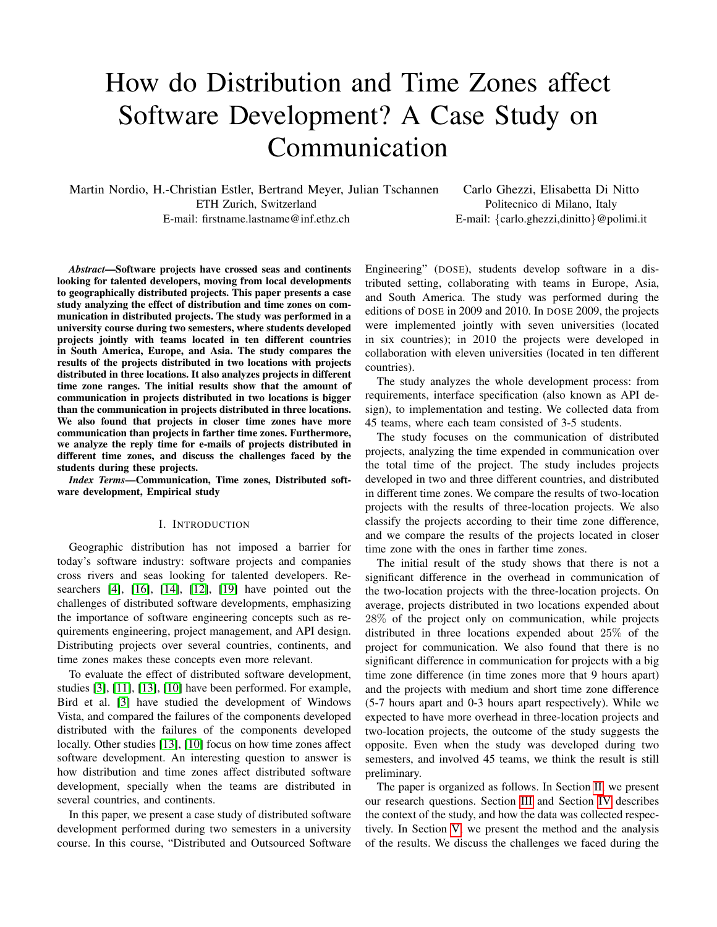# How do Distribution and Time Zones affect Software Development? A Case Study on Communication

Martin Nordio, H.-Christian Estler, Bertrand Meyer, Julian Tschannen ETH Zurich, Switzerland E-mail: firstname.lastname@inf.ethz.ch

Carlo Ghezzi, Elisabetta Di Nitto Politecnico di Milano, Italy E-mail: {carlo.ghezzi,dinitto}@polimi.it

*Abstract*—Software projects have crossed seas and continents looking for talented developers, moving from local developments to geographically distributed projects. This paper presents a case study analyzing the effect of distribution and time zones on communication in distributed projects. The study was performed in a university course during two semesters, where students developed projects jointly with teams located in ten different countries in South America, Europe, and Asia. The study compares the results of the projects distributed in two locations with projects distributed in three locations. It also analyzes projects in different time zone ranges. The initial results show that the amount of communication in projects distributed in two locations is bigger than the communication in projects distributed in three locations. We also found that projects in closer time zones have more communication than projects in farther time zones. Furthermore, we analyze the reply time for e-mails of projects distributed in different time zones, and discuss the challenges faced by the students during these projects.

*Index Terms*—Communication, Time zones, Distributed software development, Empirical study

#### I. INTRODUCTION

Geographic distribution has not imposed a barrier for today's software industry: software projects and companies cross rivers and seas looking for talented developers. Researchers  $[4]$ ,  $[16]$ ,  $[14]$ ,  $[12]$ ,  $[19]$  have pointed out the challenges of distributed software developments, emphasizing the importance of software engineering concepts such as requirements engineering, project management, and API design. Distributing projects over several countries, continents, and time zones makes these concepts even more relevant.

To evaluate the effect of distributed software development, studies [\[3\]](#page-8-5), [\[11\]](#page-8-6), [\[13\]](#page-8-7), [\[10\]](#page-8-8) have been performed. For example, Bird et al. [\[3\]](#page-8-5) have studied the development of Windows Vista, and compared the failures of the components developed distributed with the failures of the components developed locally. Other studies [\[13\]](#page-8-7), [\[10\]](#page-8-8) focus on how time zones affect software development. An interesting question to answer is how distribution and time zones affect distributed software development, specially when the teams are distributed in several countries, and continents.

In this paper, we present a case study of distributed software development performed during two semesters in a university course. In this course, "Distributed and Outsourced Software Engineering" (DOSE), students develop software in a distributed setting, collaborating with teams in Europe, Asia, and South America. The study was performed during the editions of DOSE in 2009 and 2010. In DOSE 2009, the projects were implemented jointly with seven universities (located in six countries); in 2010 the projects were developed in collaboration with eleven universities (located in ten different countries).

The study analyzes the whole development process: from requirements, interface specification (also known as API design), to implementation and testing. We collected data from 45 teams, where each team consisted of 3-5 students.

The study focuses on the communication of distributed projects, analyzing the time expended in communication over the total time of the project. The study includes projects developed in two and three different countries, and distributed in different time zones. We compare the results of two-location projects with the results of three-location projects. We also classify the projects according to their time zone difference, and we compare the results of the projects located in closer time zone with the ones in farther time zones.

The initial result of the study shows that there is not a significant difference in the overhead in communication of the two-location projects with the three-location projects. On average, projects distributed in two locations expended about 28% of the project only on communication, while projects distributed in three locations expended about 25% of the project for communication. We also found that there is no significant difference in communication for projects with a big time zone difference (in time zones more that 9 hours apart) and the projects with medium and short time zone difference (5-7 hours apart and 0-3 hours apart respectively). While we expected to have more overhead in three-location projects and two-location projects, the outcome of the study suggests the opposite. Even when the study was developed during two semesters, and involved 45 teams, we think the result is still preliminary.

The paper is organized as follows. In Section [II,](#page-1-0) we present our research questions. Section [III](#page-1-1) and Section [IV](#page-2-0) describes the context of the study, and how the data was collected respectively. In Section [V,](#page-2-1) we present the method and the analysis of the results. We discuss the challenges we faced during the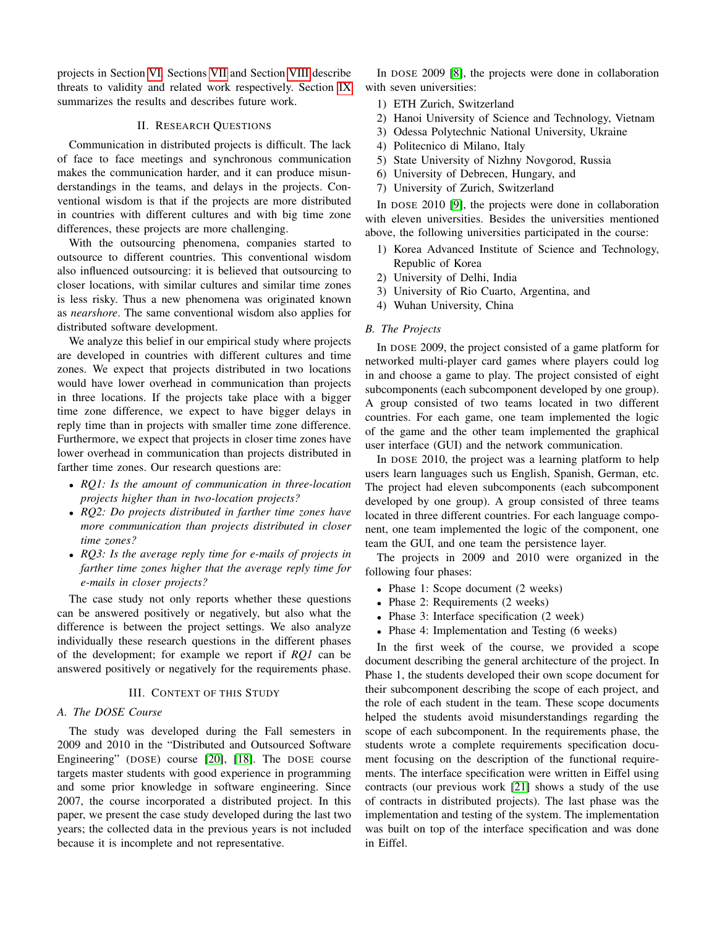projects in Section [VI.](#page-4-0) Sections [VII](#page-6-0) and Section [VIII](#page-6-1) describe threats to validity and related work respectively. Section [IX](#page-7-0) summarizes the results and describes future work.

# II. RESEARCH QUESTIONS

<span id="page-1-0"></span>Communication in distributed projects is difficult. The lack of face to face meetings and synchronous communication makes the communication harder, and it can produce misunderstandings in the teams, and delays in the projects. Conventional wisdom is that if the projects are more distributed in countries with different cultures and with big time zone differences, these projects are more challenging.

With the outsourcing phenomena, companies started to outsource to different countries. This conventional wisdom also influenced outsourcing: it is believed that outsourcing to closer locations, with similar cultures and similar time zones is less risky. Thus a new phenomena was originated known as *nearshore*. The same conventional wisdom also applies for distributed software development.

We analyze this belief in our empirical study where projects are developed in countries with different cultures and time zones. We expect that projects distributed in two locations would have lower overhead in communication than projects in three locations. If the projects take place with a bigger time zone difference, we expect to have bigger delays in reply time than in projects with smaller time zone difference. Furthermore, we expect that projects in closer time zones have lower overhead in communication than projects distributed in farther time zones. Our research questions are:

- *RQ1: Is the amount of communication in three-location projects higher than in two-location projects?*
- *RQ2: Do projects distributed in farther time zones have more communication than projects distributed in closer time zones?*
- *RQ3: Is the average reply time for e-mails of projects in farther time zones higher that the average reply time for e-mails in closer projects?*

The case study not only reports whether these questions can be answered positively or negatively, but also what the difference is between the project settings. We also analyze individually these research questions in the different phases of the development; for example we report if *RQ1* can be answered positively or negatively for the requirements phase.

## III. CONTEXT OF THIS STUDY

## <span id="page-1-1"></span>*A. The DOSE Course*

The study was developed during the Fall semesters in 2009 and 2010 in the "Distributed and Outsourced Software Engineering" (DOSE) course [\[20\]](#page-8-9), [\[18\]](#page-8-10). The DOSE course targets master students with good experience in programming and some prior knowledge in software engineering. Since 2007, the course incorporated a distributed project. In this paper, we present the case study developed during the last two years; the collected data in the previous years is not included because it is incomplete and not representative.

In DOSE 2009 [\[8\]](#page-8-11), the projects were done in collaboration with seven universities:

- 1) ETH Zurich, Switzerland
- 2) Hanoi University of Science and Technology, Vietnam
- 3) Odessa Polytechnic National University, Ukraine
- 4) Politecnico di Milano, Italy
- 5) State University of Nizhny Novgorod, Russia
- 6) University of Debrecen, Hungary, and
- 7) University of Zurich, Switzerland

In DOSE 2010 [\[9\]](#page-8-12), the projects were done in collaboration with eleven universities. Besides the universities mentioned above, the following universities participated in the course:

- 1) Korea Advanced Institute of Science and Technology, Republic of Korea
- 2) University of Delhi, India
- 3) University of Rio Cuarto, Argentina, and
- 4) Wuhan University, China

# *B. The Projects*

In DOSE 2009, the project consisted of a game platform for networked multi-player card games where players could log in and choose a game to play. The project consisted of eight subcomponents (each subcomponent developed by one group). A group consisted of two teams located in two different countries. For each game, one team implemented the logic of the game and the other team implemented the graphical user interface (GUI) and the network communication.

In DOSE 2010, the project was a learning platform to help users learn languages such us English, Spanish, German, etc. The project had eleven subcomponents (each subcomponent developed by one group). A group consisted of three teams located in three different countries. For each language component, one team implemented the logic of the component, one team the GUI, and one team the persistence layer.

The projects in 2009 and 2010 were organized in the following four phases:

- Phase 1: Scope document (2 weeks)
- Phase 2: Requirements (2 weeks)
- Phase 3: Interface specification (2 week)
- Phase 4: Implementation and Testing (6 weeks)

In the first week of the course, we provided a scope document describing the general architecture of the project. In Phase 1, the students developed their own scope document for their subcomponent describing the scope of each project, and the role of each student in the team. These scope documents helped the students avoid misunderstandings regarding the scope of each subcomponent. In the requirements phase, the students wrote a complete requirements specification document focusing on the description of the functional requirements. The interface specification were written in Eiffel using contracts (our previous work [\[21\]](#page-8-13) shows a study of the use of contracts in distributed projects). The last phase was the implementation and testing of the system. The implementation was built on top of the interface specification and was done in Eiffel.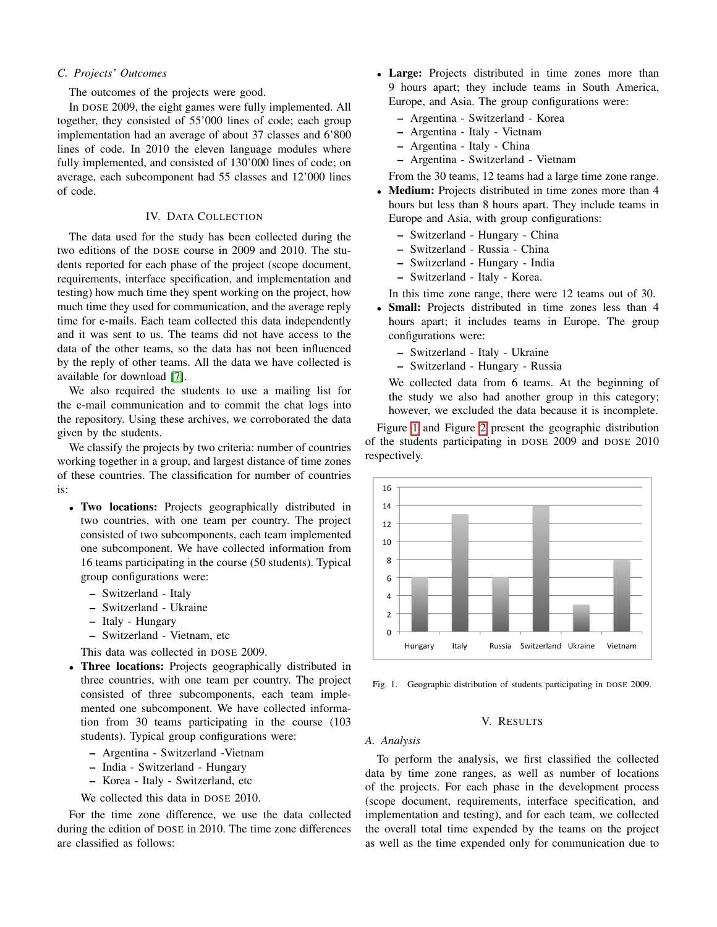## *C. Projects' Outcomes*

The outcomes of the projects were good.

In DOSE 2009, the eight games were fully implemented. All together, they consisted of 55'000 lines of code; each group implementation had an average of about 37 classes and 6'800 lines of code. In 2010 the eleven language modules where fully implemented, and consisted of 130'000 lines of code; on average, each subcomponent had 55 classes and 12'000 lines of code.

# IV. DATA COLLECTION

<span id="page-2-0"></span>The data used for the study has been collected during the two editions of the DOSE course in 2009 and 2010. The students reported for each phase of the project (scope document, requirements, interface specification, and implementation and testing) how much time they spent working on the project, how much time they used for communication, and the average reply time for e-mails. Each team collected this data independently and it was sent to us. The teams did not have access to the data of the other teams, so the data has not been influenced by the reply of other teams. All the data we have collected is available for download [\[7\]](#page-8-14).

We also required the students to use a mailing list for the e-mail communication and to commit the chat logs into the repository. Using these archives, we corroborated the data given by the students.

We classify the projects by two criteria: number of countries working together in a group, and largest distance of time zones of these countries. The classification for number of countries is:

- Two locations: Projects geographically distributed in two countries, with one team per country. The project consisted of two subcomponents, each team implemented one subcomponent. We have collected information from 16 teams participating in the course (50 students). Typical group configurations were:
	- Switzerland Italy
	- Switzerland Ukraine
	- Italy Hungary
	- Switzerland Vietnam, etc
	- This data was collected in DOSE 2009.
- Three locations: Projects geographically distributed in three countries, with one team per country. The project consisted of three subcomponents, each team implemented one subcomponent. We have collected information from 30 teams participating in the course (103 students). Typical group configurations were:
	- Argentina Switzerland -Vietnam
	- India Switzerland Hungary
	- Korea Italy Switzerland, etc

We collected this data in DOSE 2010.

For the time zone difference, we use the data collected during the edition of DOSE in 2010. The time zone differences are classified as follows:

- Large: Projects distributed in time zones more than 9 hours apart; they include teams in South America, Europe, and Asia. The group configurations were:
	- Argentina Switzerland Korea
	- Argentina Italy Vietnam
	- Argentina Italy China
	- Argentina Switzerland Vietnam

From the 30 teams, 12 teams had a large time zone range.

- Medium: Projects distributed in time zones more than 4 hours but less than 8 hours apart. They include teams in Europe and Asia, with group configurations:
	- Switzerland Hungary China
	- Switzerland Russia China
	- Switzerland Hungary India
	- Switzerland Italy Korea.

In this time zone range, there were 12 teams out of 30.

- Small: Projects distributed in time zones less than 4 hours apart; it includes teams in Europe. The group configurations were:
	- Switzerland Italy Ukraine
	- Switzerland Hungary Russia

We collected data from 6 teams. At the beginning of the study we also had another group in this category; however, we excluded the data because it is incomplete.

Figure [1](#page-2-2) and Figure [2](#page-3-0) present the geographic distribution of the students participating in DOSE 2009 and DOSE 2010 respectively.



<span id="page-2-2"></span>Fig. 1. Geographic distribution of students participating in DOSE 2009.

## V. RESULTS

#### <span id="page-2-1"></span>*A. Analysis*

To perform the analysis, we first classified the collected data by time zone ranges, as well as number of locations of the projects. For each phase in the development process (scope document, requirements, interface specification, and implementation and testing), and for each team, we collected the overall total time expended by the teams on the project as well as the time expended only for communication due to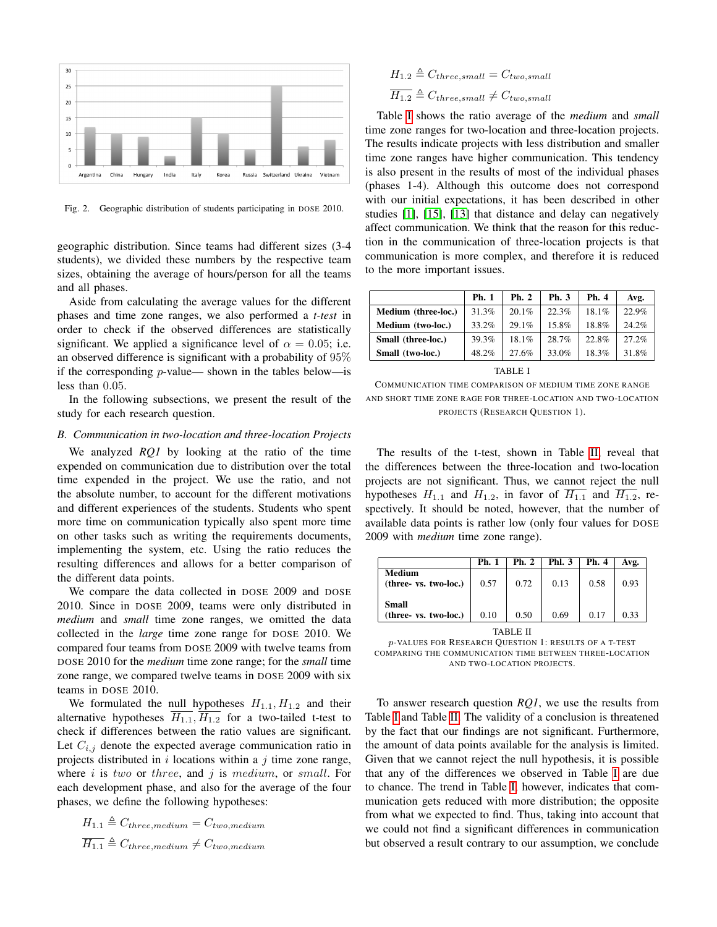

<span id="page-3-0"></span>Fig. 2. Geographic distribution of students participating in DOSE 2010.

geographic distribution. Since teams had different sizes (3-4 students), we divided these numbers by the respective team sizes, obtaining the average of hours/person for all the teams and all phases.

Aside from calculating the average values for the different phases and time zone ranges, we also performed a *t-test* in order to check if the observed differences are statistically significant. We applied a significance level of  $\alpha = 0.05$ ; i.e. an observed difference is significant with a probability of 95% if the corresponding  $p$ -value— shown in the tables below—is less than 0.05.

In the following subsections, we present the result of the study for each research question.

#### *B. Communication in two-location and three-location Projects*

We analyzed *RQ1* by looking at the ratio of the time expended on communication due to distribution over the total time expended in the project. We use the ratio, and not the absolute number, to account for the different motivations and different experiences of the students. Students who spent more time on communication typically also spent more time on other tasks such as writing the requirements documents, implementing the system, etc. Using the ratio reduces the resulting differences and allows for a better comparison of the different data points.

We compare the data collected in DOSE 2009 and DOSE 2010. Since in DOSE 2009, teams were only distributed in *medium* and *small* time zone ranges, we omitted the data collected in the *large* time zone range for DOSE 2010. We compared four teams from DOSE 2009 with twelve teams from DOSE 2010 for the *medium* time zone range; for the *small* time zone range, we compared twelve teams in DOSE 2009 with six teams in DOSE 2010.

We formulated the null hypotheses  $H_{1,1}, H_{1,2}$  and their alternative hypotheses  $H_{1,1}$ ,  $H_{1,2}$  for a two-tailed t-test to check if differences between the ratio values are significant. Let  $C_{i,j}$  denote the expected average communication ratio in projects distributed in  $i$  locations within a  $j$  time zone range, where  $i$  is two or three, and  $j$  is medium, or small. For each development phase, and also for the average of the four phases, we define the following hypotheses:

$$
H_{1.1} \triangleq C_{three,medium} = C_{two,medium}
$$
  

$$
\overline{H_{1.1}} \triangleq C_{three,medium} \neq C_{two,medium}
$$

$$
H_{1.2} \triangleq C_{three,small} = C_{two,small}
$$
  

$$
\overline{H_{1.2}} \triangleq C_{three,small} \neq C_{two,small}
$$

Table [I](#page-3-1) shows the ratio average of the *medium* and *small* time zone ranges for two-location and three-location projects. The results indicate projects with less distribution and smaller time zone ranges have higher communication. This tendency is also present in the results of most of the individual phases (phases 1-4). Although this outcome does not correspond with our initial expectations, it has been described in other studies [\[1\]](#page-7-1), [\[15\]](#page-8-15), [\[13\]](#page-8-7) that distance and delay can negatively affect communication. We think that the reason for this reduction in the communication of three-location projects is that communication is more complex, and therefore it is reduced to the more important issues.

| Medium (three-loc.)<br>31.3% | 20.1% |       |       |          |
|------------------------------|-------|-------|-------|----------|
|                              |       | 22.3% | 18.1% | 22.9%    |
| Medium (two-loc.)<br>33.2%   | 29.1% | 15.8% | 18.8% | 24.2%    |
| 39.3%<br>Small (three-loc.)  | 18.1% | 28.7% | 22.8% | $27.2\%$ |
| 48.2%<br>Small (two-loc.)    | 27.6% | 33.0% | 18.3% | 31.8%    |

TABLE I

<span id="page-3-1"></span>COMMUNICATION TIME COMPARISON OF MEDIUM TIME ZONE RANGE AND SHORT TIME ZONE RAGE FOR THREE-LOCATION AND TWO-LOCATION PROJECTS (RESEARCH QUESTION 1).

The results of the t-test, shown in Table [II,](#page-3-2) reveal that the differences between the three-location and two-location projects are not significant. Thus, we cannot reject the null hypotheses  $H_{1,1}$  and  $H_{1,2}$ , in favor of  $\overline{H_{1,1}}$  and  $\overline{H_{1,2}}$ , respectively. It should be noted, however, that the number of available data points is rather low (only four values for DOSE 2009 with *medium* time zone range).

|                                       | <b>Ph. 1</b> | Ph. 2 | <b>Phl. 3</b> | Ph. 4 | Avg. |  |  |
|---------------------------------------|--------------|-------|---------------|-------|------|--|--|
| Medium<br>(three- vs. two-loc.)       | 0.57         | 0.72  | 0.13          | 0.58  | 0.93 |  |  |
| <b>Small</b><br>(three- vs. two-loc.) | 0.10         | 0.50  | 0.69          | 0.17  | 0.33 |  |  |
| -------                               |              |       |               |       |      |  |  |

TABLE II

<span id="page-3-2"></span>p-VALUES FOR RESEARCH QUESTION 1: RESULTS OF A T-TEST COMPARING THE COMMUNICATION TIME BETWEEN THREE-LOCATION AND TWO-LOCATION PROJECTS.

To answer research question *RQ1*, we use the results from Table [I](#page-3-1) and Table [II.](#page-3-2) The validity of a conclusion is threatened by the fact that our findings are not significant. Furthermore, the amount of data points available for the analysis is limited. Given that we cannot reject the null hypothesis, it is possible that any of the differences we observed in Table [I](#page-3-1) are due to chance. The trend in Table [I,](#page-3-1) however, indicates that communication gets reduced with more distribution; the opposite from what we expected to find. Thus, taking into account that we could not find a significant differences in communication but observed a result contrary to our assumption, we conclude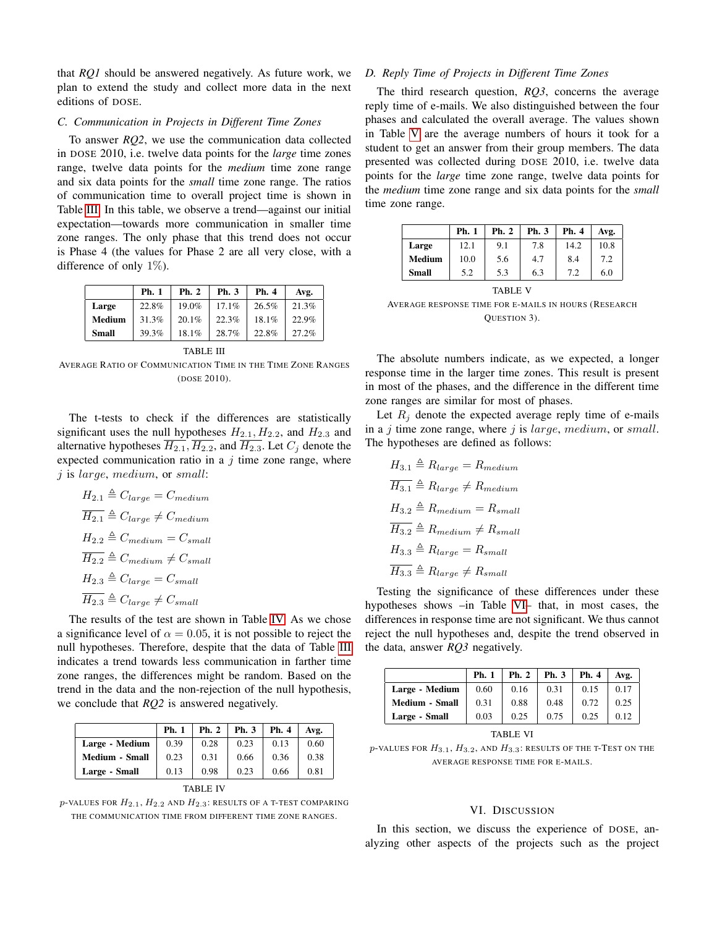that *RQ1* should be answered negatively. As future work, we plan to extend the study and collect more data in the next editions of DOSE.

# *C. Communication in Projects in Different Time Zones*

To answer *RQ2*, we use the communication data collected in DOSE 2010, i.e. twelve data points for the *large* time zones range, twelve data points for the *medium* time zone range and six data points for the *small* time zone range. The ratios of communication time to overall project time is shown in Table [III.](#page-4-1) In this table, we observe a trend—against our initial expectation—towards more communication in smaller time zone ranges. The only phase that this trend does not occur is Phase 4 (the values for Phase 2 are all very close, with a difference of only  $1\%$ ).

|              | Ph. 1 | Ph. 2 | Ph. 3 | Ph. 4 | Avg.  |
|--------------|-------|-------|-------|-------|-------|
| Large        | 22.8% | 19.0% | 17.1% | 26.5% | 21.3% |
| Medium       | 31.3% | 20.1% | 22.3% | 18.1% | 22.9% |
| <b>Small</b> | 39.3% | 18.1% | 28.7% | 22.8% | 27.2% |

TABLE III

<span id="page-4-1"></span>AVERAGE RATIO OF COMMUNICATION TIME IN THE TIME ZONE RANGES (DOSE 2010).

The t-tests to check if the differences are statistically significant uses the null hypotheses  $H_{2,1}$ ,  $H_{2,2}$ , and  $H_{2,3}$  and alternative hypotheses  $\overline{H_{2,1}}$ ,  $\overline{H_{2,2}}$ , and  $\overline{H_{2,3}}$ . Let  $C_i$  denote the expected communication ratio in a  $j$  time zone range, where j is large, medium, or small:

$$
H_{2.1} \triangleq C_{large} = C_{medium}
$$
  
\n
$$
\overline{H_{2.1}} \triangleq C_{large} \neq C_{medium}
$$
  
\n
$$
H_{2.2} \triangleq C_{medium} = C_{small}
$$
  
\n
$$
\overline{H_{2.2}} \triangleq C_{medium} \neq C_{small}
$$
  
\n
$$
H_{2.3} \triangleq C_{large} = C_{small}
$$
  
\n
$$
\overline{H_{2.3}} \triangleq C_{large} \neq C_{small}
$$

The results of the test are shown in Table [IV.](#page-4-2) As we chose a significance level of  $\alpha = 0.05$ , it is not possible to reject the null hypotheses. Therefore, despite that the data of Table [III](#page-4-1) indicates a trend towards less communication in farther time zone ranges, the differences might be random. Based on the trend in the data and the non-rejection of the null hypothesis, we conclude that *RQ2* is answered negatively.

|                | <b>Ph. 1</b> | <b>Ph. 2</b> | Ph. 3 | Ph. 4 | Avg. |  |
|----------------|--------------|--------------|-------|-------|------|--|
| Large - Medium | 0.39         | 0.28         | 0.23  | 0.13  | 0.60 |  |
| Medium - Small | 0.23         | 0.31         | 0.66  | 0.36  | 0.38 |  |
| Large - Small  | 0.13         | 0.98         | 0.23  | 0.66  | 0.81 |  |
|                |              |              |       |       |      |  |

<span id="page-4-2"></span> $p$ -VALUES FOR  $H_{2.1}$ ,  $H_{2.2}$  and  $H_{2.3}$ : RESULTS OF A T-TEST COMPARING THE COMMUNICATION TIME FROM DIFFERENT TIME ZONE RANGES.

#### *D. Reply Time of Projects in Different Time Zones*

The third research question, *RQ3*, concerns the average reply time of e-mails. We also distinguished between the four phases and calculated the overall average. The values shown in Table [V](#page-4-3) are the average numbers of hours it took for a student to get an answer from their group members. The data presented was collected during DOSE 2010, i.e. twelve data points for the *large* time zone range, twelve data points for the *medium* time zone range and six data points for the *small* time zone range.

|              | Ph. 1 | Ph. 2 | Ph. 3 | Ph. 4 | Avg. |
|--------------|-------|-------|-------|-------|------|
| Large        | 12.1  | 9.1   | 7.8   | 14.2  | 10.8 |
| Medium       | 10.0  | 5.6   | 4.7   | 8.4   | 7.2  |
| <b>Small</b> | 5.2   | 5.3   | 6.3   | 7.2   | 6.0  |

<span id="page-4-3"></span>TABLE V AVERAGE RESPONSE TIME FOR E-MAILS IN HOURS (RESEARCH QUESTION 3).

The absolute numbers indicate, as we expected, a longer response time in the larger time zones. This result is present in most of the phases, and the difference in the different time zone ranges are similar for most of phases.

Let  $R_i$  denote the expected average reply time of e-mails in a  $j$  time zone range, where  $j$  is *large*, medium, or small. The hypotheses are defined as follows:

$$
H_{3.1} \triangleq R_{large} = R_{medium}
$$
  
\n
$$
\overline{H_{3.1}} \triangleq R_{large} \neq R_{medium}
$$
  
\n
$$
H_{3.2} \triangleq R_{medium} = R_{small}
$$
  
\n
$$
\overline{H_{3.2}} \triangleq R_{medium} \neq R_{small}
$$
  
\n
$$
H_{3.3} \triangleq R_{large} = R_{small}
$$
  
\n
$$
\overline{H_{3.3}} \triangleq R_{large} \neq R_{small}
$$

Testing the significance of these differences under these hypotheses shows –in Table [VI–](#page-4-4) that, in most cases, the differences in response time are not significant. We thus cannot reject the null hypotheses and, despite the trend observed in the data, answer *RQ3* negatively.

|                       | <b>Ph. 1</b> | Ph. 2 | Ph. 3 | Ph. 4 | Avg. |
|-----------------------|--------------|-------|-------|-------|------|
| Large - Medium        | 0.60         | 0.16  | 0.31  | 0.15  | 0.17 |
| <b>Medium - Small</b> | 0.31         | 0.88  | 0.48  | 0.72  | 0.25 |
| Large - Small         | 0.03         | 0.25  | 0.75  | 0.25  | 0.12 |

TABLE VI

<span id="page-4-4"></span> $p$ -VALUES FOR  $H_{3.1}$ ,  $H_{3.2}$ , AND  $H_{3.3}$ : RESULTS OF THE T-TEST ON THE AVERAGE RESPONSE TIME FOR E-MAILS.

#### VI. DISCUSSION

<span id="page-4-0"></span>In this section, we discuss the experience of DOSE, analyzing other aspects of the projects such as the project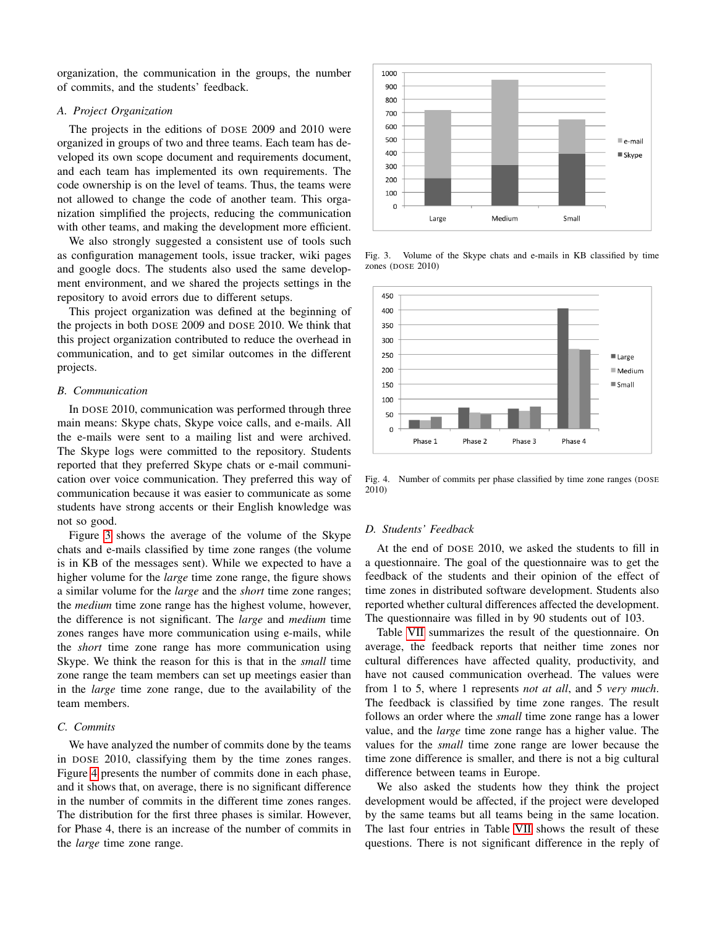organization, the communication in the groups, the number of commits, and the students' feedback.

# *A. Project Organization*

The projects in the editions of DOSE 2009 and 2010 were organized in groups of two and three teams. Each team has developed its own scope document and requirements document, and each team has implemented its own requirements. The code ownership is on the level of teams. Thus, the teams were not allowed to change the code of another team. This organization simplified the projects, reducing the communication with other teams, and making the development more efficient.

We also strongly suggested a consistent use of tools such as configuration management tools, issue tracker, wiki pages and google docs. The students also used the same development environment, and we shared the projects settings in the repository to avoid errors due to different setups.

This project organization was defined at the beginning of the projects in both DOSE 2009 and DOSE 2010. We think that this project organization contributed to reduce the overhead in communication, and to get similar outcomes in the different projects.

## *B. Communication*

In DOSE 2010, communication was performed through three main means: Skype chats, Skype voice calls, and e-mails. All the e-mails were sent to a mailing list and were archived. The Skype logs were committed to the repository. Students reported that they preferred Skype chats or e-mail communication over voice communication. They preferred this way of communication because it was easier to communicate as some students have strong accents or their English knowledge was not so good.

Figure [3](#page-5-0) shows the average of the volume of the Skype chats and e-mails classified by time zone ranges (the volume is in KB of the messages sent). While we expected to have a higher volume for the *large* time zone range, the figure shows a similar volume for the *large* and the *short* time zone ranges; the *medium* time zone range has the highest volume, however, the difference is not significant. The *large* and *medium* time zones ranges have more communication using e-mails, while the *short* time zone range has more communication using Skype. We think the reason for this is that in the *small* time zone range the team members can set up meetings easier than in the *large* time zone range, due to the availability of the team members.

# *C. Commits*

We have analyzed the number of commits done by the teams in DOSE 2010, classifying them by the time zones ranges. Figure [4](#page-5-1) presents the number of commits done in each phase, and it shows that, on average, there is no significant difference in the number of commits in the different time zones ranges. The distribution for the first three phases is similar. However, for Phase 4, there is an increase of the number of commits in the *large* time zone range.



<span id="page-5-0"></span>Fig. 3. Volume of the Skype chats and e-mails in KB classified by time zones (DOSE 2010)



<span id="page-5-1"></span>Fig. 4. Number of commits per phase classified by time zone ranges (DOSE 2010)

# *D. Students' Feedback*

At the end of DOSE 2010, we asked the students to fill in a questionnaire. The goal of the questionnaire was to get the feedback of the students and their opinion of the effect of time zones in distributed software development. Students also reported whether cultural differences affected the development. The questionnaire was filled in by 90 students out of 103.

Table [VII](#page-6-2) summarizes the result of the questionnaire. On average, the feedback reports that neither time zones nor cultural differences have affected quality, productivity, and have not caused communication overhead. The values were from 1 to 5, where 1 represents *not at all*, and 5 *very much*. The feedback is classified by time zone ranges. The result follows an order where the *small* time zone range has a lower value, and the *large* time zone range has a higher value. The values for the *small* time zone range are lower because the time zone difference is smaller, and there is not a big cultural difference between teams in Europe.

We also asked the students how they think the project development would be affected, if the project were developed by the same teams but all teams being in the same location. The last four entries in Table [VII](#page-6-2) shows the result of these questions. There is not significant difference in the reply of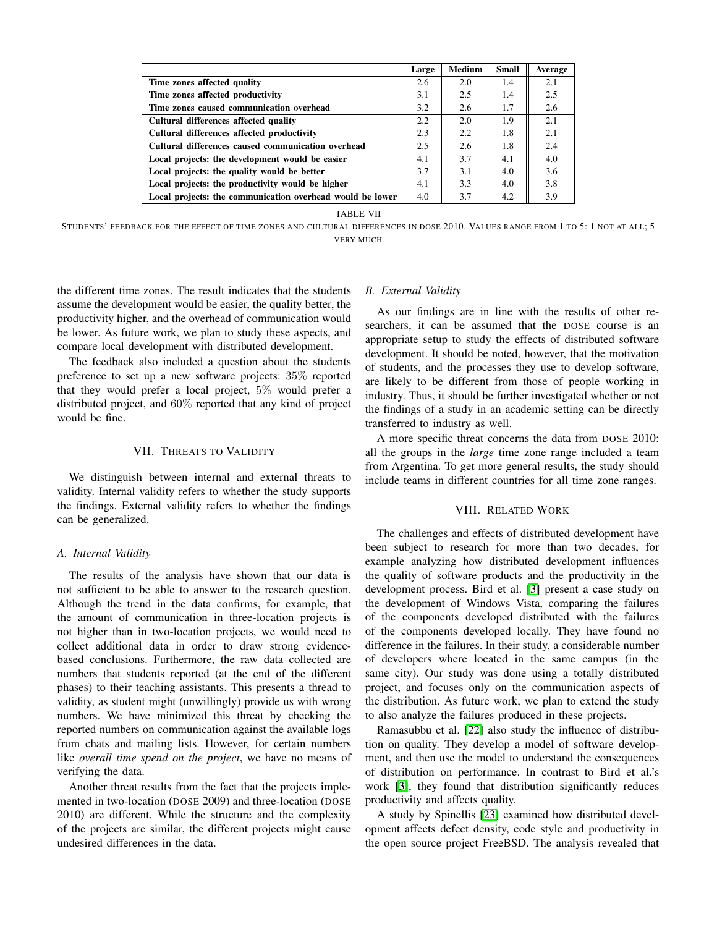|                                                           | Large | <b>Medium</b> | <b>Small</b> | Average |
|-----------------------------------------------------------|-------|---------------|--------------|---------|
| Time zones affected quality                               | 2.6   | 2.0           | 1.4          | 2.1     |
| Time zones affected productivity                          | 3.1   | 2.5           | 1.4          | 2.5     |
| Time zones caused communication overhead                  | 3.2   | 2.6           | 1.7          | 2.6     |
| Cultural differences affected quality                     | 2.2   | 2.0           | 1.9          | 2.1     |
| Cultural differences affected productivity                | 2.3   | 2.2           | 1.8          | 2.1     |
| Cultural differences caused communication overhead        | 2.5   | 2.6           | 1.8          | 2.4     |
| Local projects: the development would be easier           | 4.1   | 3.7           | 4.1          | 4.0     |
| Local projects: the quality would be better               | 3.7   | 3.1           | 4.0          | 3.6     |
| Local projects: the productivity would be higher          | 4.1   | 3.3           | 4.0          | 3.8     |
| Local projects: the communication overhead would be lower | 4.0   | 3.7           | 4.2          | 3.9     |

TABLE VII

<span id="page-6-2"></span>STUDENTS' FEEDBACK FOR THE EFFECT OF TIME ZONES AND CULTURAL DIFFERENCES IN DOSE 2010. VALUES RANGE FROM 1 TO 5: 1 NOT AT ALL; 5 VERY MUCH

the different time zones. The result indicates that the students assume the development would be easier, the quality better, the productivity higher, and the overhead of communication would be lower. As future work, we plan to study these aspects, and compare local development with distributed development.

The feedback also included a question about the students preference to set up a new software projects: 35% reported that they would prefer a local project, 5% would prefer a distributed project, and 60% reported that any kind of project would be fine.

## VII. THREATS TO VALIDITY

<span id="page-6-0"></span>We distinguish between internal and external threats to validity. Internal validity refers to whether the study supports the findings. External validity refers to whether the findings can be generalized.

# *A. Internal Validity*

The results of the analysis have shown that our data is not sufficient to be able to answer to the research question. Although the trend in the data confirms, for example, that the amount of communication in three-location projects is not higher than in two-location projects, we would need to collect additional data in order to draw strong evidencebased conclusions. Furthermore, the raw data collected are numbers that students reported (at the end of the different phases) to their teaching assistants. This presents a thread to validity, as student might (unwillingly) provide us with wrong numbers. We have minimized this threat by checking the reported numbers on communication against the available logs from chats and mailing lists. However, for certain numbers like *overall time spend on the project*, we have no means of verifying the data.

Another threat results from the fact that the projects implemented in two-location (DOSE 2009) and three-location (DOSE 2010) are different. While the structure and the complexity of the projects are similar, the different projects might cause undesired differences in the data.

# *B. External Validity*

As our findings are in line with the results of other researchers, it can be assumed that the DOSE course is an appropriate setup to study the effects of distributed software development. It should be noted, however, that the motivation of students, and the processes they use to develop software, are likely to be different from those of people working in industry. Thus, it should be further investigated whether or not the findings of a study in an academic setting can be directly transferred to industry as well.

A more specific threat concerns the data from DOSE 2010: all the groups in the *large* time zone range included a team from Argentina. To get more general results, the study should include teams in different countries for all time zone ranges.

# VIII. RELATED WORK

<span id="page-6-1"></span>The challenges and effects of distributed development have been subject to research for more than two decades, for example analyzing how distributed development influences the quality of software products and the productivity in the development process. Bird et al. [\[3\]](#page-8-5) present a case study on the development of Windows Vista, comparing the failures of the components developed distributed with the failures of the components developed locally. They have found no difference in the failures. In their study, a considerable number of developers where located in the same campus (in the same city). Our study was done using a totally distributed project, and focuses only on the communication aspects of the distribution. As future work, we plan to extend the study to also analyze the failures produced in these projects.

Ramasubbu et al. [\[22\]](#page-8-16) also study the influence of distribution on quality. They develop a model of software development, and then use the model to understand the consequences of distribution on performance. In contrast to Bird et al.'s work [\[3\]](#page-8-5), they found that distribution significantly reduces productivity and affects quality.

A study by Spinellis [\[23\]](#page-8-17) examined how distributed development affects defect density, code style and productivity in the open source project FreeBSD. The analysis revealed that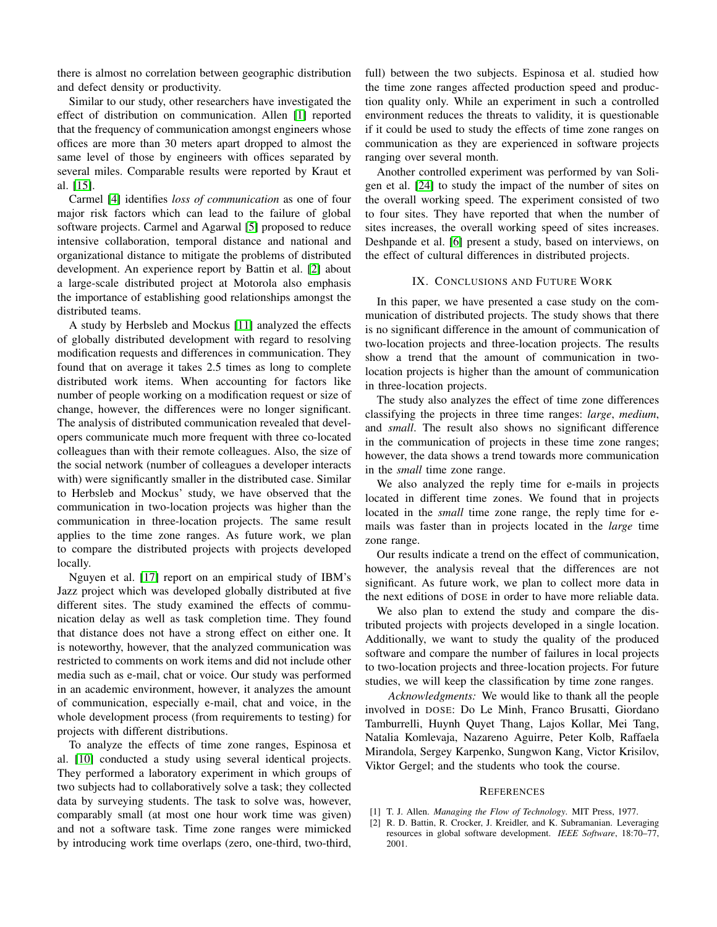there is almost no correlation between geographic distribution and defect density or productivity.

Similar to our study, other researchers have investigated the effect of distribution on communication. Allen [\[1\]](#page-7-1) reported that the frequency of communication amongst engineers whose offices are more than 30 meters apart dropped to almost the same level of those by engineers with offices separated by several miles. Comparable results were reported by Kraut et al. [\[15\]](#page-8-15).

Carmel [\[4\]](#page-8-0) identifies *loss of communication* as one of four major risk factors which can lead to the failure of global software projects. Carmel and Agarwal [\[5\]](#page-8-18) proposed to reduce intensive collaboration, temporal distance and national and organizational distance to mitigate the problems of distributed development. An experience report by Battin et al. [\[2\]](#page-7-2) about a large-scale distributed project at Motorola also emphasis the importance of establishing good relationships amongst the distributed teams.

A study by Herbsleb and Mockus [\[11\]](#page-8-6) analyzed the effects of globally distributed development with regard to resolving modification requests and differences in communication. They found that on average it takes 2.5 times as long to complete distributed work items. When accounting for factors like number of people working on a modification request or size of change, however, the differences were no longer significant. The analysis of distributed communication revealed that developers communicate much more frequent with three co-located colleagues than with their remote colleagues. Also, the size of the social network (number of colleagues a developer interacts with) were significantly smaller in the distributed case. Similar to Herbsleb and Mockus' study, we have observed that the communication in two-location projects was higher than the communication in three-location projects. The same result applies to the time zone ranges. As future work, we plan to compare the distributed projects with projects developed locally.

Nguyen et al. [\[17\]](#page-8-19) report on an empirical study of IBM's Jazz project which was developed globally distributed at five different sites. The study examined the effects of communication delay as well as task completion time. They found that distance does not have a strong effect on either one. It is noteworthy, however, that the analyzed communication was restricted to comments on work items and did not include other media such as e-mail, chat or voice. Our study was performed in an academic environment, however, it analyzes the amount of communication, especially e-mail, chat and voice, in the whole development process (from requirements to testing) for projects with different distributions.

To analyze the effects of time zone ranges, Espinosa et al. [\[10\]](#page-8-8) conducted a study using several identical projects. They performed a laboratory experiment in which groups of two subjects had to collaboratively solve a task; they collected data by surveying students. The task to solve was, however, comparably small (at most one hour work time was given) and not a software task. Time zone ranges were mimicked by introducing work time overlaps (zero, one-third, two-third,

full) between the two subjects. Espinosa et al. studied how the time zone ranges affected production speed and production quality only. While an experiment in such a controlled environment reduces the threats to validity, it is questionable if it could be used to study the effects of time zone ranges on communication as they are experienced in software projects ranging over several month.

Another controlled experiment was performed by van Soligen et al. [\[24\]](#page-8-20) to study the impact of the number of sites on the overall working speed. The experiment consisted of two to four sites. They have reported that when the number of sites increases, the overall working speed of sites increases. Deshpande et al. [\[6\]](#page-8-21) present a study, based on interviews, on the effect of cultural differences in distributed projects.

## IX. CONCLUSIONS AND FUTURE WORK

<span id="page-7-0"></span>In this paper, we have presented a case study on the communication of distributed projects. The study shows that there is no significant difference in the amount of communication of two-location projects and three-location projects. The results show a trend that the amount of communication in twolocation projects is higher than the amount of communication in three-location projects.

The study also analyzes the effect of time zone differences classifying the projects in three time ranges: *large*, *medium*, and *small*. The result also shows no significant difference in the communication of projects in these time zone ranges; however, the data shows a trend towards more communication in the *small* time zone range.

We also analyzed the reply time for e-mails in projects located in different time zones. We found that in projects located in the *small* time zone range, the reply time for emails was faster than in projects located in the *large* time zone range.

Our results indicate a trend on the effect of communication, however, the analysis reveal that the differences are not significant. As future work, we plan to collect more data in the next editions of DOSE in order to have more reliable data.

We also plan to extend the study and compare the distributed projects with projects developed in a single location. Additionally, we want to study the quality of the produced software and compare the number of failures in local projects to two-location projects and three-location projects. For future studies, we will keep the classification by time zone ranges.

*Acknowledgments:* We would like to thank all the people involved in DOSE: Do Le Minh, Franco Brusatti, Giordano Tamburrelli, Huynh Quyet Thang, Lajos Kollar, Mei Tang, Natalia Komlevaja, Nazareno Aguirre, Peter Kolb, Raffaela Mirandola, Sergey Karpenko, Sungwon Kang, Victor Krisilov, Viktor Gergel; and the students who took the course.

## **REFERENCES**

- <span id="page-7-1"></span>[1] T. J. Allen. *Managing the Flow of Technology*. MIT Press, 1977.
- <span id="page-7-2"></span>[2] R. D. Battin, R. Crocker, J. Kreidler, and K. Subramanian. Leveraging resources in global software development. *IEEE Software*, 18:70–77, 2001.